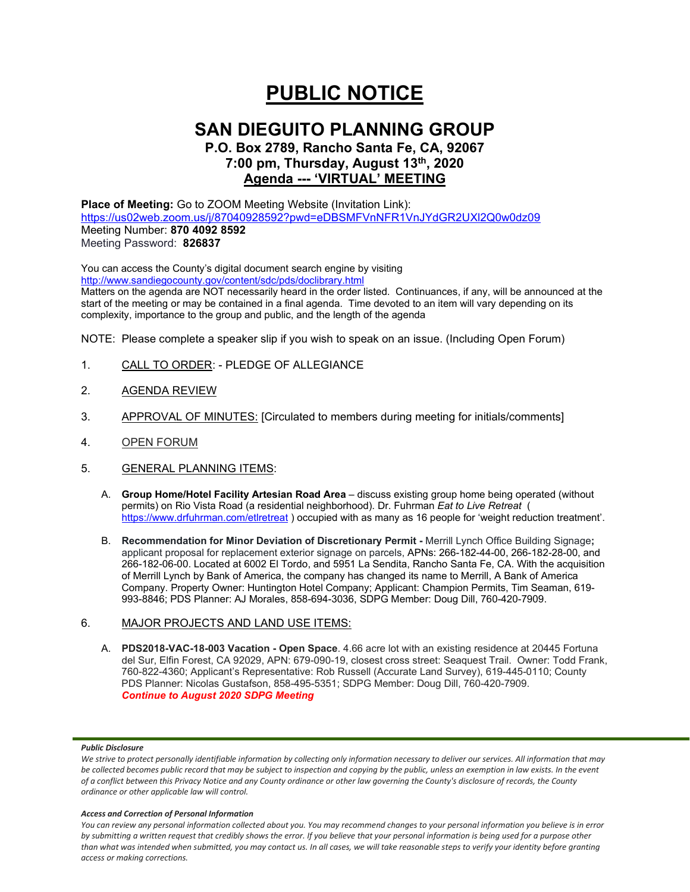# **PUBLIC NOTICE**

## **SAN DIEGUITO PLANNING GROUP**

## **P.O. Box 2789, Rancho Santa Fe, CA, 92067 7:00 pm, Thursday, August 13th, 2020 Agenda --- 'VIRTUAL' MEETING**

**Place of Meeting:** Go to ZOOM Meeting Website (Invitation Link): <https://us02web.zoom.us/j/87040928592?pwd=eDBSMFVnNFR1VnJYdGR2UXl2Q0w0dz09> Meeting Number: **870 4092 8592** Meeting Password: **826837**

You can access the County's digital document search engine by visiting <http://www.sandiegocounty.gov/content/sdc/pds/doclibrary.html>

Matters on the agenda are NOT necessarily heard in the order listed. Continuances, if any, will be announced at the start of the meeting or may be contained in a final agenda. Time devoted to an item will vary depending on its complexity, importance to the group and public, and the length of the agenda

NOTE: Please complete a speaker slip if you wish to speak on an issue. (Including Open Forum)

- 1. CALL TO ORDER: PLEDGE OF ALLEGIANCE
- 2. AGENDA REVIEW
- 3. APPROVAL OF MINUTES: [Circulated to members during meeting for initials/comments]
- 4. OPEN FORUM
- 5. GENERAL PLANNING ITEMS:
	- A. **Group Home/Hotel Facility Artesian Road Area** discuss existing group home being operated (without permits) on Rio Vista Road (a residential neighborhood). Dr. Fuhrman *Eat to Live Retreat* ( <https://www.drfuhrman.com/etlretreat> ) occupied with as many as 16 people for 'weight reduction treatment'.
	- B. **Recommendation for Minor Deviation of Discretionary Permit -** Merrill Lynch Office Building Signage**;** applicant proposal for replacement exterior signage on parcels, APNs: 266-182-44-00, 266-182-28-00, and 266-182-06-00. Located at 6002 El Tordo, and 5951 La Sendita, Rancho Santa Fe, CA. With the acquisition of Merrill Lynch by Bank of America, the company has changed its name to Merrill, A Bank of America Company. Property Owner: Huntington Hotel Company; Applicant: Champion Permits, Tim Seaman, 619- 993-8846; PDS Planner: AJ Morales, 858-694-3036, SDPG Member: Doug Dill, 760-420-7909.

## 6. MAJOR PROJECTS AND LAND USE ITEMS:

A. **PDS2018-VAC-18-003 Vacation - Open Space**. 4.66 acre lot with an existing residence at 20445 Fortuna del Sur, Elfin Forest, CA 92029, APN: 679-090-19, closest cross street: Seaquest Trail. Owner: Todd Frank, 760-822-4360; Applicant's Representative: Rob Russell (Accurate Land Survey), 619-445-0110; County PDS Planner: Nicolas Gustafson, 858-495-5351; SDPG Member: Doug Dill, 760-420-7909. *Continue to August 2020 SDPG Meeting*

## *Public Disclosure*

### *Access and Correction of Personal Information*

*You can review any personal information collected about you. You may recommend changes to your personal information you believe is in error by submitting a written request that credibly shows the error. If you believe that your personal information is being used for a purpose other than what was intended when submitted, you may contact us. In all cases, we will take reasonable steps to verify your identity before granting access or making corrections.*

We strive to protect personally identifiable information by collecting only information necessary to deliver our services. All information that may *be collected becomes public record that may be subject to inspection and copying by the public, unless an exemption in law exists. In the event of a conflict between this Privacy Notice and any County ordinance or other law governing the County's disclosure of records, the County ordinance or other applicable law will control.*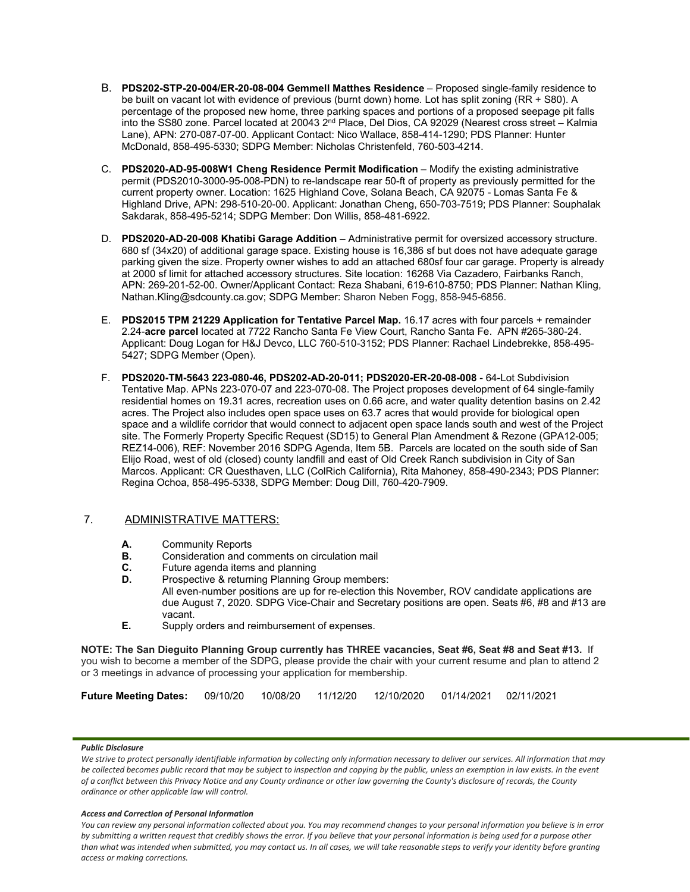- B. **PDS202-STP-20-004/ER-20-08-004 Gemmell Matthes Residence** Proposed single-family residence to be built on vacant lot with evidence of previous (burnt down) home. Lot has split zoning (RR + S80). A percentage of the proposed new home, three parking spaces and portions of a proposed seepage pit falls into the SS80 zone. Parcel located at 20043 2<sup>nd</sup> Place, Del Dios, CA 92029 (Nearest cross street – Kalmia Lane), APN: 270-087-07-00. Applicant Contact: Nico Wallace, 858-414-1290; PDS Planner: Hunter McDonald, 858-495-5330; SDPG Member: Nicholas Christenfeld, 760-503-4214.
- C. **PDS2020-AD-95-008W1 Cheng Residence Permit Modification** Modify the existing administrative permit (PDS2010-3000-95-008-PDN) to re-landscape rear 50-ft of property as previously permitted for the current property owner. Location: 1625 Highland Cove, Solana Beach, CA 92075 - Lomas Santa Fe & Highland Drive, APN: 298-510-20-00. Applicant: Jonathan Cheng, 650-703-7519; PDS Planner: Souphalak Sakdarak, 858-495-5214; SDPG Member: Don Willis, 858-481-6922.
- D. **PDS2020-AD-20-008 Khatibi Garage Addition** Administrative permit for oversized accessory structure. 680 sf (34x20) of additional garage space. Existing house is 16,386 sf but does not have adequate garage parking given the size. Property owner wishes to add an attached 680sf four car garage. Property is already at 2000 sf limit for attached accessory structures. Site location: 16268 Via Cazadero, Fairbanks Ranch, APN: 269-201-52-00. Owner/Applicant Contact: Reza Shabani, 619-610-8750; PDS Planner: Nathan Kling, Nathan.Kling@sdcounty.ca.gov; SDPG Member: Sharon Neben Fogg, 858-945-6856.
- E. **PDS2015 TPM 21229 Application for Tentative Parcel Map.** 16.17 acres with four parcels + remainder 2.24-**acre parcel** located at 7722 Rancho Santa Fe View Court, Rancho Santa Fe. APN #265-380-24. Applicant: Doug Logan for H&J Devco, LLC 760-510-3152; PDS Planner: Rachael Lindebrekke, 858-495- 5427; SDPG Member (Open).
- F. **PDS2020-TM-5643 223-080-46, PDS202-AD-20-011; PDS2020-ER-20-08-008** 64-Lot Subdivision Tentative Map. APNs 223-070-07 and 223-070-08. The Project proposes development of 64 single-family residential homes on 19.31 acres, recreation uses on 0.66 acre, and water quality detention basins on 2.42 acres. The Project also includes open space uses on 63.7 acres that would provide for biological open space and a wildlife corridor that would connect to adjacent open space lands south and west of the Project site. The Formerly Property Specific Request (SD15) to General Plan Amendment & Rezone (GPA12-005; REZ14-006), REF: November 2016 SDPG Agenda, Item 5B. Parcels are located on the south side of San Elijo Road, west of old (closed) county landfill and east of Old Creek Ranch subdivision in City of San Marcos. Applicant: CR Questhaven, LLC (ColRich California), Rita Mahoney, 858-490-2343; PDS Planner: Regina Ochoa, 858-495-5338, SDPG Member: Doug Dill, 760-420-7909.

## 7. ADMINISTRATIVE MATTERS:

- **A.** Community Reports
- **B.** Consideration and comments on circulation mail
- **C.** Future agenda items and planning<br>**D.** Prospective & returning Planning G.
- Prospective & returning Planning Group members: All even-number positions are up for re-election this November, ROV candidate applications are due August 7, 2020. SDPG Vice-Chair and Secretary positions are open. Seats #6, #8 and #13 are vacant.
- **E.** Supply orders and reimbursement of expenses.

**NOTE: The San Dieguito Planning Group currently has THREE vacancies, Seat #6, Seat #8 and Seat #13.** If you wish to become a member of the SDPG, please provide the chair with your current resume and plan to attend 2 or 3 meetings in advance of processing your application for membership.

| Future Meeting Dates: 09/10/20 10/08/20 11/12/20 12/10/2020 01/14/2021 02/11/2021 |  |  |  |
|-----------------------------------------------------------------------------------|--|--|--|
|                                                                                   |  |  |  |

## *Public Disclosure*

We strive to protect personally identifiable information by collecting only information necessary to deliver our services. All information that may *be collected becomes public record that may be subject to inspection and copying by the public, unless an exemption in law exists. In the event of a conflict between this Privacy Notice and any County ordinance or other law governing the County's disclosure of records, the County ordinance or other applicable law will control.*

### *Access and Correction of Personal Information*

*You can review any personal information collected about you. You may recommend changes to your personal information you believe is in error by submitting a written request that credibly shows the error. If you believe that your personal information is being used for a purpose other than what was intended when submitted, you may contact us. In all cases, we will take reasonable steps to verify your identity before granting access or making corrections.*